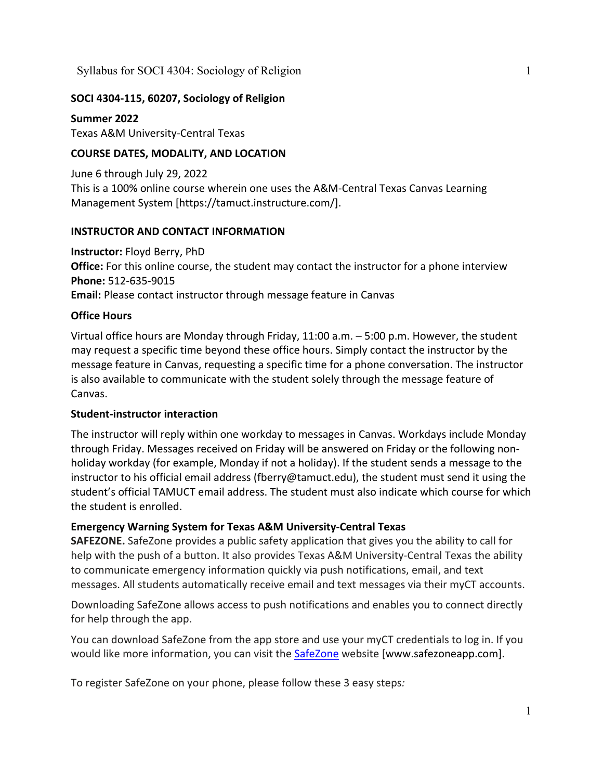# **SOCI 4304-115, 60207, Sociology of Religion**

**Summer 2022** Texas A&M University-Central Texas

# **COURSE DATES, MODALITY, AND LOCATION**

June 6 through July 29, 2022 This is a 100% online course wherein one uses the A&M-Central Texas Canvas Learning Management System [https://tamuct.instructure.com/].

## **INSTRUCTOR AND CONTACT INFORMATION**

**Instructor:** Floyd Berry, PhD **Office:** For this online course, the student may contact the instructor for a phone interview **Phone:** 512-635-9015 **Email:** Please contact instructor through message feature in Canvas

## **Office Hours**

Virtual office hours are Monday through Friday, 11:00 a.m. – 5:00 p.m. However, the student may request a specific time beyond these office hours. Simply contact the instructor by the message feature in Canvas, requesting a specific time for a phone conversation. The instructor is also available to communicate with the student solely through the message feature of Canvas.

## **Student-instructor interaction**

The instructor will reply within one workday to messages in Canvas. Workdays include Monday through Friday. Messages received on Friday will be answered on Friday or the following nonholiday workday (for example, Monday if not a holiday). If the student sends a message to the instructor to his official email address (fberry@tamuct.edu), the student must send it using the student's official TAMUCT email address. The student must also indicate which course for which the student is enrolled.

## **Emergency Warning System for Texas A&M University-Central Texas**

**SAFEZONE.** SafeZone provides a public safety application that gives you the ability to call for help with the push of a button. It also provides Texas A&M University-Central Texas the ability to communicate emergency information quickly via push notifications, email, and text messages. All students automatically receive email and text messages via their myCT accounts.

Downloading SafeZone allows access to push notifications and enables you to connect directly for help through the app.

You can download SafeZone from the app store and use your myCT credentials to log in. If you would like more information, you can visit the [SafeZone](http://www.safezoneapp.com/) website [www.safezoneapp.com].

To register SafeZone on your phone, please follow these 3 easy steps*:*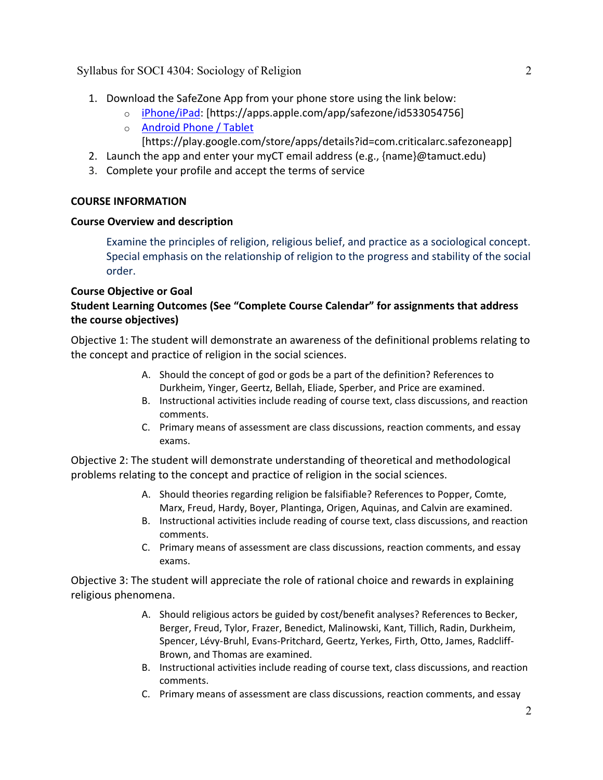- 1. Download the SafeZone App from your phone store using the link below:
	- o [iPhone/iPad:](https://apps.apple.com/app/safezone/id533054756) [https://apps.apple.com/app/safezone/id533054756]
	- o [Android Phone / Tablet](https://play.google.com/store/apps/details?id=com.criticalarc.safezoneapp) [https://play.google.com/store/apps/details?id=com.criticalarc.safezoneapp]
- 2. Launch the app and enter your myCT email address (e.g., {name}@tamuct.edu)
- 3. Complete your profile and accept the terms of service

# **COURSE INFORMATION**

# **Course Overview and description**

Examine the principles of religion, religious belief, and practice as a sociological concept. Special emphasis on the relationship of religion to the progress and stability of the social order.

# **Course Objective or Goal**

# **Student Learning Outcomes (See "Complete Course Calendar" for assignments that address the course objectives)**

Objective 1: The student will demonstrate an awareness of the definitional problems relating to the concept and practice of religion in the social sciences.

- A. Should the concept of god or gods be a part of the definition? References to Durkheim, Yinger, Geertz, Bellah, Eliade, Sperber, and Price are examined.
- B. Instructional activities include reading of course text, class discussions, and reaction comments.
- C. Primary means of assessment are class discussions, reaction comments, and essay exams.

Objective 2: The student will demonstrate understanding of theoretical and methodological problems relating to the concept and practice of religion in the social sciences.

- A. Should theories regarding religion be falsifiable? References to Popper, Comte, Marx, Freud, Hardy, Boyer, Plantinga, Origen, Aquinas, and Calvin are examined.
- B. Instructional activities include reading of course text, class discussions, and reaction comments.
- C. Primary means of assessment are class discussions, reaction comments, and essay exams.

Objective 3: The student will appreciate the role of rational choice and rewards in explaining religious phenomena.

- A. Should religious actors be guided by cost/benefit analyses? References to Becker, Berger, Freud, Tylor, Frazer, Benedict, Malinowski, Kant, Tillich, Radin, Durkheim, Spencer, Lévy-Bruhl, Evans-Pritchard, Geertz, Yerkes, Firth, Otto, James, Radcliff-Brown, and Thomas are examined.
- B. Instructional activities include reading of course text, class discussions, and reaction comments.
- C. Primary means of assessment are class discussions, reaction comments, and essay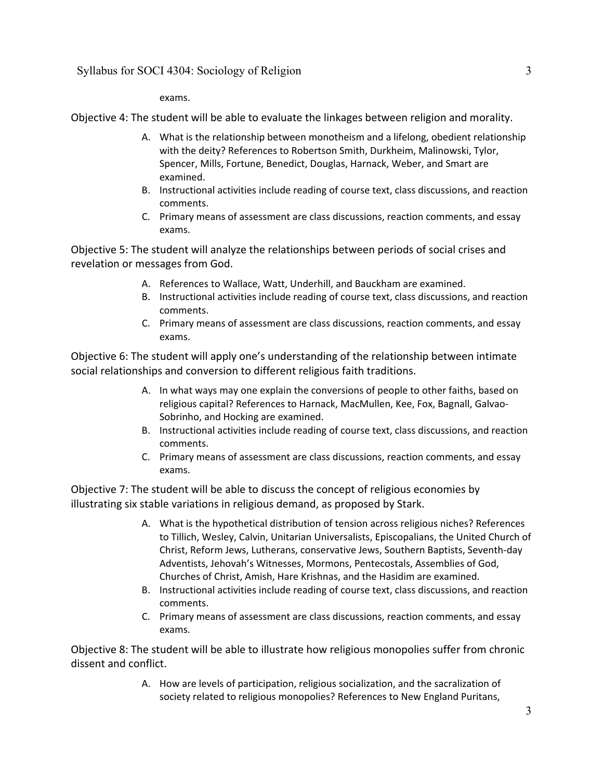exams.

Objective 4: The student will be able to evaluate the linkages between religion and morality.

- A. What is the relationship between monotheism and a lifelong, obedient relationship with the deity? References to Robertson Smith, Durkheim, Malinowski, Tylor, Spencer, Mills, Fortune, Benedict, Douglas, Harnack, Weber, and Smart are examined.
- B. Instructional activities include reading of course text, class discussions, and reaction comments.
- C. Primary means of assessment are class discussions, reaction comments, and essay exams.

Objective 5: The student will analyze the relationships between periods of social crises and revelation or messages from God.

- A. References to Wallace, Watt, Underhill, and Bauckham are examined.
- B. Instructional activities include reading of course text, class discussions, and reaction comments.
- C. Primary means of assessment are class discussions, reaction comments, and essay exams.

Objective 6: The student will apply one's understanding of the relationship between intimate social relationships and conversion to different religious faith traditions.

- A. In what ways may one explain the conversions of people to other faiths, based on religious capital? References to Harnack, MacMullen, Kee, Fox, Bagnall, Galvao-Sobrinho, and Hocking are examined.
- B. Instructional activities include reading of course text, class discussions, and reaction comments.
- C. Primary means of assessment are class discussions, reaction comments, and essay exams.

Objective 7: The student will be able to discuss the concept of religious economies by illustrating six stable variations in religious demand, as proposed by Stark.

- A. What is the hypothetical distribution of tension across religious niches? References to Tillich, Wesley, Calvin, Unitarian Universalists, Episcopalians, the United Church of Christ, Reform Jews, Lutherans, conservative Jews, Southern Baptists, Seventh-day Adventists, Jehovah's Witnesses, Mormons, Pentecostals, Assemblies of God, Churches of Christ, Amish, Hare Krishnas, and the Hasidim are examined.
- B. Instructional activities include reading of course text, class discussions, and reaction comments.
- C. Primary means of assessment are class discussions, reaction comments, and essay exams.

Objective 8: The student will be able to illustrate how religious monopolies suffer from chronic dissent and conflict.

> A. How are levels of participation, religious socialization, and the sacralization of society related to religious monopolies? References to New England Puritans,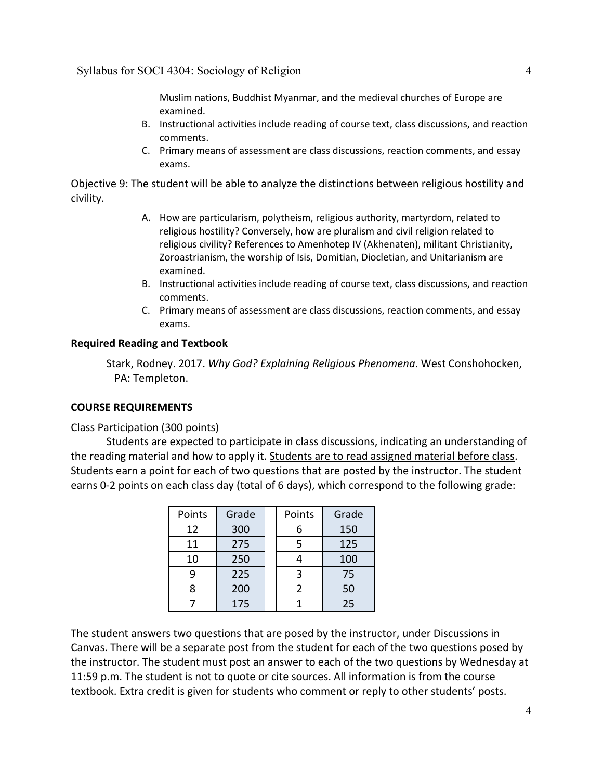Muslim nations, Buddhist Myanmar, and the medieval churches of Europe are examined.

- B. Instructional activities include reading of course text, class discussions, and reaction comments.
- C. Primary means of assessment are class discussions, reaction comments, and essay exams.

Objective 9: The student will be able to analyze the distinctions between religious hostility and civility.

- A. How are particularism, polytheism, religious authority, martyrdom, related to religious hostility? Conversely, how are pluralism and civil religion related to religious civility? References to Amenhotep IV (Akhenaten), militant Christianity, Zoroastrianism, the worship of Isis, Domitian, Diocletian, and Unitarianism are examined.
- B. Instructional activities include reading of course text, class discussions, and reaction comments.
- C. Primary means of assessment are class discussions, reaction comments, and essay exams.

### **Required Reading and Textbook**

Stark, Rodney. 2017. *Why God? Explaining Religious Phenomena*. West Conshohocken, PA: Templeton.

### **COURSE REQUIREMENTS**

#### Class Participation (300 points)

Students are expected to participate in class discussions, indicating an understanding of the reading material and how to apply it. Students are to read assigned material before class. Students earn a point for each of two questions that are posted by the instructor. The student earns 0-2 points on each class day (total of 6 days), which correspond to the following grade:

| Points | Grade |  | Points         | Grade |
|--------|-------|--|----------------|-------|
| 12     | 300   |  | 6              | 150   |
| 11     | 275   |  | 5              | 125   |
| 10     | 250   |  |                | 100   |
| q      | 225   |  | 3              | 75    |
| 8      | 200   |  | $\mathfrak{p}$ | 50    |
|        | 175   |  |                | 25    |

The student answers two questions that are posed by the instructor, under Discussions in Canvas. There will be a separate post from the student for each of the two questions posed by the instructor. The student must post an answer to each of the two questions by Wednesday at 11:59 p.m. The student is not to quote or cite sources. All information is from the course textbook. Extra credit is given for students who comment or reply to other students' posts.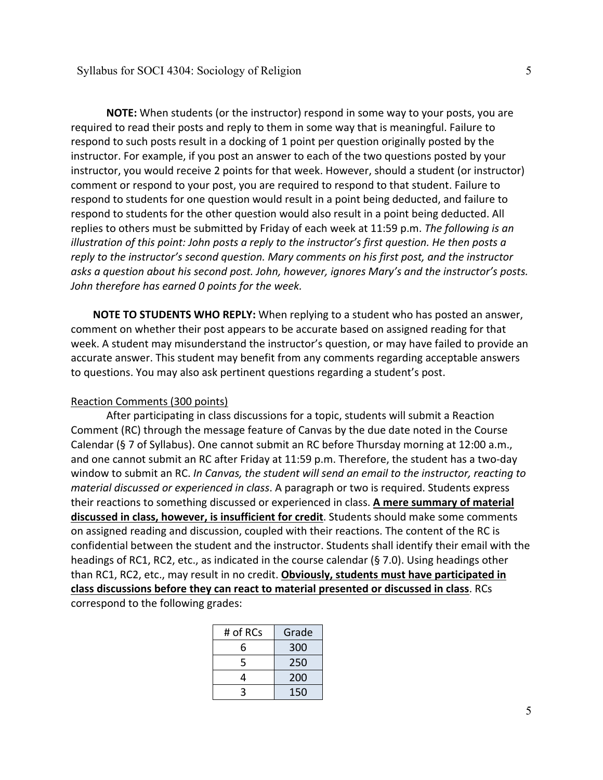**NOTE:** When students (or the instructor) respond in some way to your posts, you are required to read their posts and reply to them in some way that is meaningful. Failure to respond to such posts result in a docking of 1 point per question originally posted by the instructor. For example, if you post an answer to each of the two questions posted by your instructor, you would receive 2 points for that week. However, should a student (or instructor) comment or respond to your post, you are required to respond to that student. Failure to respond to students for one question would result in a point being deducted, and failure to respond to students for the other question would also result in a point being deducted. All replies to others must be submitted by Friday of each week at 11:59 p.m. *The following is an illustration of this point: John posts a reply to the instructor's first question. He then posts a reply to the instructor's second question. Mary comments on his first post, and the instructor asks a question about his second post. John, however, ignores Mary's and the instructor's posts. John therefore has earned 0 points for the week.*

**NOTE TO STUDENTS WHO REPLY:** When replying to a student who has posted an answer, comment on whether their post appears to be accurate based on assigned reading for that week. A student may misunderstand the instructor's question, or may have failed to provide an accurate answer. This student may benefit from any comments regarding acceptable answers to questions. You may also ask pertinent questions regarding a student's post.

### Reaction Comments (300 points)

After participating in class discussions for a topic, students will submit a Reaction Comment (RC) through the message feature of Canvas by the due date noted in the Course Calendar (§ 7 of Syllabus). One cannot submit an RC before Thursday morning at 12:00 a.m., and one cannot submit an RC after Friday at 11:59 p.m. Therefore, the student has a two-day window to submit an RC. *In Canvas, the student will send an email to the instructor, reacting to material discussed or experienced in class*. A paragraph or two is required. Students express their reactions to something discussed or experienced in class. **A mere summary of material discussed in class, however, is insufficient for credit**. Students should make some comments on assigned reading and discussion, coupled with their reactions. The content of the RC is confidential between the student and the instructor. Students shall identify their email with the headings of RC1, RC2, etc., as indicated in the course calendar (§ 7.0). Using headings other than RC1, RC2, etc., may result in no credit. **Obviously, students must have participated in class discussions before they can react to material presented or discussed in class**. RCs correspond to the following grades:

| # of RCs | Grade |
|----------|-------|
| 6        | 300   |
| 5        | 250   |
| 4        | 200   |
| ς        | 150   |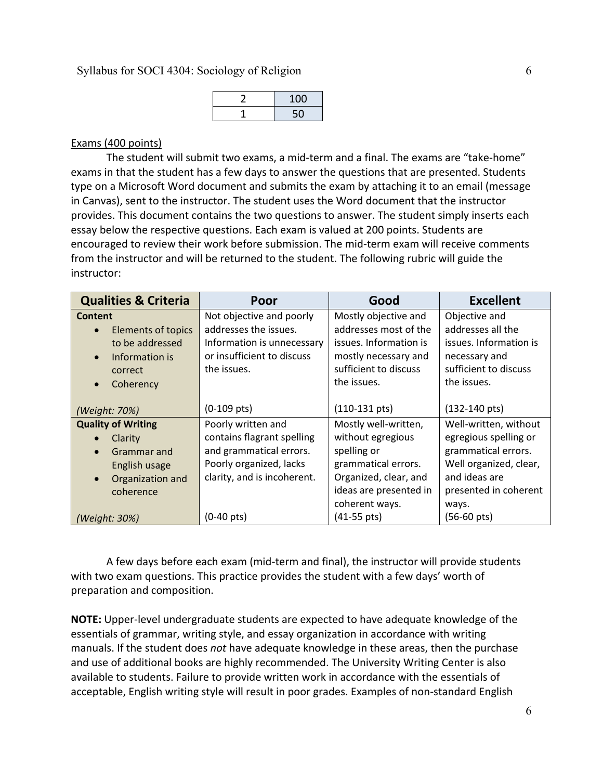| 100 |
|-----|
|     |

### Exams (400 points)

The student will submit two exams, a mid-term and a final. The exams are "take-home" exams in that the student has a few days to answer the questions that are presented. Students type on a Microsoft Word document and submits the exam by attaching it to an email (message in Canvas), sent to the instructor. The student uses the Word document that the instructor provides. This document contains the two questions to answer. The student simply inserts each essay below the respective questions. Each exam is valued at 200 points. Students are encouraged to review their work before submission. The mid-term exam will receive comments from the instructor and will be returned to the student. The following rubric will guide the instructor:

| <b>Qualities &amp; Criteria</b> | Poor                        | Good                    | <b>Excellent</b>        |
|---------------------------------|-----------------------------|-------------------------|-------------------------|
| Content                         | Not objective and poorly    | Mostly objective and    | Objective and           |
| <b>Elements of topics</b>       | addresses the issues.       | addresses most of the   | addresses all the       |
| to be addressed                 | Information is unnecessary  | issues. Information is  | issues. Information is  |
| Information is<br>$\bullet$     | or insufficient to discuss  | mostly necessary and    | necessary and           |
| correct                         | the issues.                 | sufficient to discuss   | sufficient to discuss   |
| Coherency<br>$\bullet$          |                             | the issues.             | the issues.             |
|                                 |                             |                         |                         |
| (Weight: 70%)                   | $(0-109 \text{ pts})$       | $(110-131 \text{ pts})$ | $(132-140 \text{ pts})$ |
| <b>Quality of Writing</b>       | Poorly written and          | Mostly well-written,    | Well-written, without   |
| Clarity                         | contains flagrant spelling  | without egregious       | egregious spelling or   |
| Grammar and                     | and grammatical errors.     | spelling or             | grammatical errors.     |
| English usage                   | Poorly organized, lacks     | grammatical errors.     | Well organized, clear,  |
| Organization and<br>$\bullet$   | clarity, and is incoherent. | Organized, clear, and   | and ideas are           |
| coherence                       |                             | ideas are presented in  | presented in coherent   |
|                                 |                             | coherent ways.          | ways.                   |
| (Weight: 30%)                   | $(0-40 \text{ pts})$        | $(41-55 \text{ pts})$   | $(56-60 \text{ pts})$   |

A few days before each exam (mid-term and final), the instructor will provide students with two exam questions. This practice provides the student with a few days' worth of preparation and composition.

**NOTE:** Upper-level undergraduate students are expected to have adequate knowledge of the essentials of grammar, writing style, and essay organization in accordance with writing manuals. If the student does *not* have adequate knowledge in these areas, then the purchase and use of additional books are highly recommended. The University Writing Center is also available to students. Failure to provide written work in accordance with the essentials of acceptable, English writing style will result in poor grades. Examples of non-standard English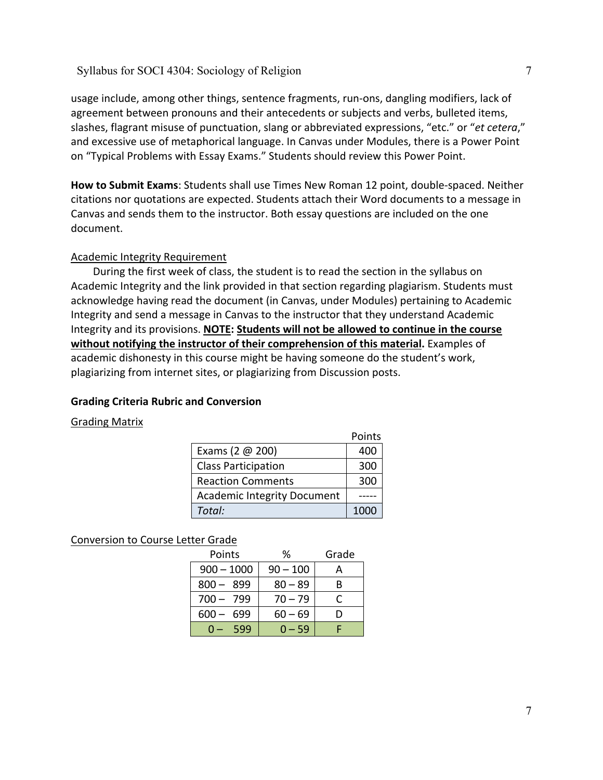usage include, among other things, sentence fragments, run-ons, dangling modifiers, lack of agreement between pronouns and their antecedents or subjects and verbs, bulleted items, slashes, flagrant misuse of punctuation, slang or abbreviated expressions, "etc." or "*et cetera*," and excessive use of metaphorical language. In Canvas under Modules, there is a Power Point on "Typical Problems with Essay Exams." Students should review this Power Point.

**How to Submit Exams**: Students shall use Times New Roman 12 point, double-spaced. Neither citations nor quotations are expected. Students attach their Word documents to a message in Canvas and sends them to the instructor. Both essay questions are included on the one document.

# Academic Integrity Requirement

During the first week of class, the student is to read the section in the syllabus on Academic Integrity and the link provided in that section regarding plagiarism. Students must acknowledge having read the document (in Canvas, under Modules) pertaining to Academic Integrity and send a message in Canvas to the instructor that they understand Academic Integrity and its provisions. **NOTE: Students will not be allowed to continue in the course without notifying the instructor of their comprehension of this material.** Examples of academic dishonesty in this course might be having someone do the student's work, plagiarizing from internet sites, or plagiarizing from Discussion posts.

## **Grading Criteria Rubric and Conversion**

## Grading Matrix

|  |                                    | Points |
|--|------------------------------------|--------|
|  | Exams (2 $@$ 200)                  |        |
|  | <b>Class Participation</b>         | 300    |
|  | <b>Reaction Comments</b>           | 300    |
|  | <b>Academic Integrity Document</b> |        |
|  | Total:                             |        |

## Conversion to Course Letter Grade

| Points         | ℅          | Grade |
|----------------|------------|-------|
| $900 - 1000$   | $90 - 100$ |       |
| $800 - 899$    | $80 - 89$  | B     |
| $700 - 799$    | $70 - 79$  |       |
| $600 -$<br>699 | $60 - 69$  |       |
| 599            | $0 - 59$   |       |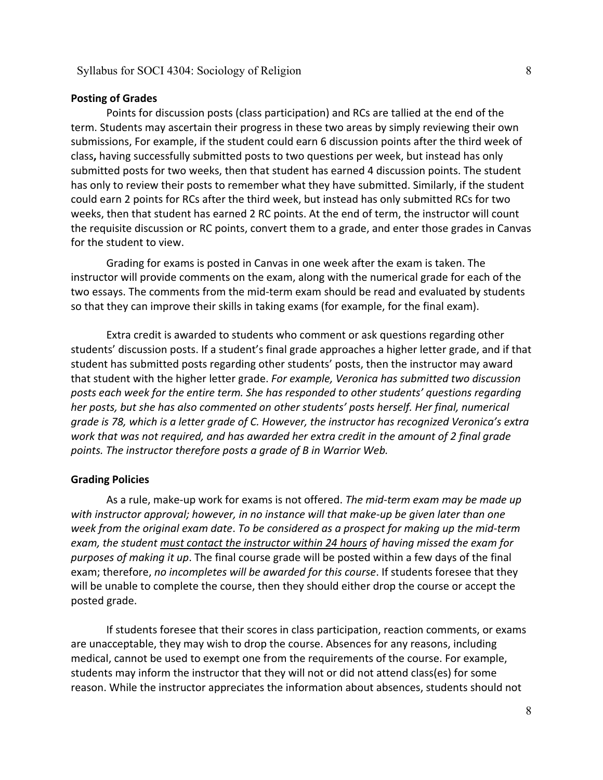### **Posting of Grades**

Points for discussion posts (class participation) and RCs are tallied at the end of the term. Students may ascertain their progress in these two areas by simply reviewing their own submissions, For example, if the student could earn 6 discussion points after the third week of class**,** having successfully submitted posts to two questions per week, but instead has only submitted posts for two weeks, then that student has earned 4 discussion points. The student has only to review their posts to remember what they have submitted. Similarly, if the student could earn 2 points for RCs after the third week, but instead has only submitted RCs for two weeks, then that student has earned 2 RC points. At the end of term, the instructor will count the requisite discussion or RC points, convert them to a grade, and enter those grades in Canvas for the student to view.

Grading for exams is posted in Canvas in one week after the exam is taken. The instructor will provide comments on the exam, along with the numerical grade for each of the two essays. The comments from the mid-term exam should be read and evaluated by students so that they can improve their skills in taking exams (for example, for the final exam).

Extra credit is awarded to students who comment or ask questions regarding other students' discussion posts. If a student's final grade approaches a higher letter grade, and if that student has submitted posts regarding other students' posts, then the instructor may award that student with the higher letter grade. *For example, Veronica has submitted two discussion posts each week for the entire term. She has responded to other students' questions regarding her posts, but she has also commented on other students' posts herself. Her final, numerical grade is 78, which is a letter grade of C. However, the instructor has recognized Veronica's extra work that was not required, and has awarded her extra credit in the amount of 2 final grade points. The instructor therefore posts a grade of B in Warrior Web.*

#### **Grading Policies**

As a rule, make-up work for exams is not offered. *The mid-term exam may be made up with instructor approval; however, in no instance will that make-up be given later than one week from the original exam date*. *To be considered as a prospect for making up the mid-term exam, the student must contact the instructor within 24 hours of having missed the exam for purposes of making it up*. The final course grade will be posted within a few days of the final exam; therefore, *no incompletes will be awarded for this course*. If students foresee that they will be unable to complete the course, then they should either drop the course or accept the posted grade.

If students foresee that their scores in class participation, reaction comments, or exams are unacceptable, they may wish to drop the course. Absences for any reasons, including medical, cannot be used to exempt one from the requirements of the course. For example, students may inform the instructor that they will not or did not attend class(es) for some reason. While the instructor appreciates the information about absences, students should not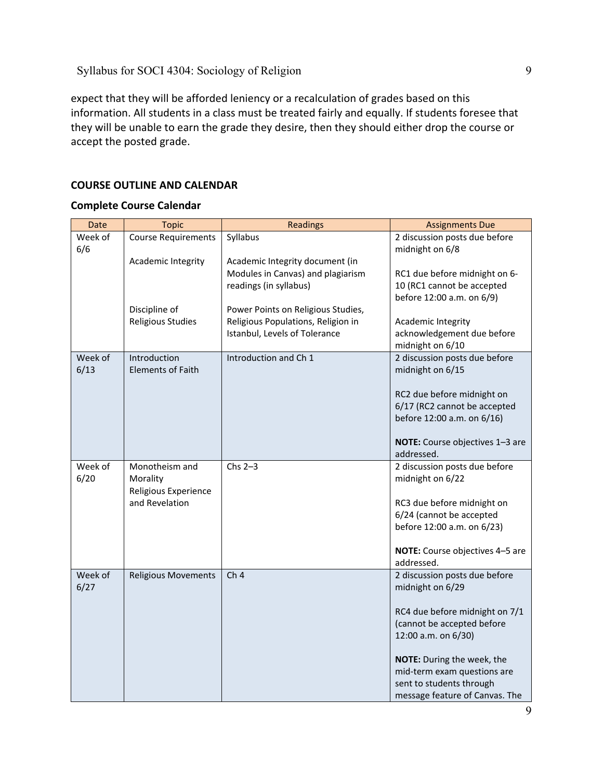expect that they will be afforded leniency or a recalculation of grades based on this information. All students in a class must be treated fairly and equally. If students foresee that they will be unable to earn the grade they desire, then they should either drop the course or accept the posted grade.

# **COURSE OUTLINE AND CALENDAR**

### **Complete Course Calendar**

| Date            | <b>Topic</b>                             | <b>Readings</b>                    | <b>Assignments Due</b>                                  |
|-----------------|------------------------------------------|------------------------------------|---------------------------------------------------------|
| Week of<br>6/6  | <b>Course Requirements</b>               | Syllabus                           | 2 discussion posts due before<br>midnight on 6/8        |
|                 | Academic Integrity                       | Academic Integrity document (in    |                                                         |
|                 |                                          | Modules in Canvas) and plagiarism  | RC1 due before midnight on 6-                           |
|                 |                                          | readings (in syllabus)             | 10 (RC1 cannot be accepted<br>before 12:00 a.m. on 6/9) |
|                 | Discipline of                            | Power Points on Religious Studies, |                                                         |
|                 | <b>Religious Studies</b>                 | Religious Populations, Religion in | Academic Integrity                                      |
|                 |                                          | Istanbul, Levels of Tolerance      | acknowledgement due before<br>midnight on 6/10          |
| Week of<br>6/13 | Introduction<br><b>Elements of Faith</b> | Introduction and Ch 1              | 2 discussion posts due before<br>midnight on 6/15       |
|                 |                                          |                                    | RC2 due before midnight on                              |
|                 |                                          |                                    | 6/17 (RC2 cannot be accepted                            |
|                 |                                          |                                    | before 12:00 a.m. on 6/16)                              |
|                 |                                          |                                    | NOTE: Course objectives 1-3 are<br>addressed.           |
| Week of         | Monotheism and                           | $Chs 2-3$                          | 2 discussion posts due before                           |
| 6/20            | Morality<br>Religious Experience         |                                    | midnight on 6/22                                        |
|                 | and Revelation                           |                                    | RC3 due before midnight on                              |
|                 |                                          |                                    | 6/24 (cannot be accepted                                |
|                 |                                          |                                    | before 12:00 a.m. on 6/23)                              |
|                 |                                          |                                    | NOTE: Course objectives 4-5 are<br>addressed.           |
| Week of         | <b>Religious Movements</b>               | Ch <sub>4</sub>                    | 2 discussion posts due before                           |
| 6/27            |                                          |                                    | midnight on 6/29                                        |
|                 |                                          |                                    | RC4 due before midnight on 7/1                          |
|                 |                                          |                                    | (cannot be accepted before                              |
|                 |                                          |                                    | 12:00 a.m. on 6/30)                                     |
|                 |                                          |                                    | NOTE: During the week, the                              |
|                 |                                          |                                    | mid-term exam questions are                             |
|                 |                                          |                                    | sent to students through                                |
|                 |                                          |                                    | message feature of Canvas. The                          |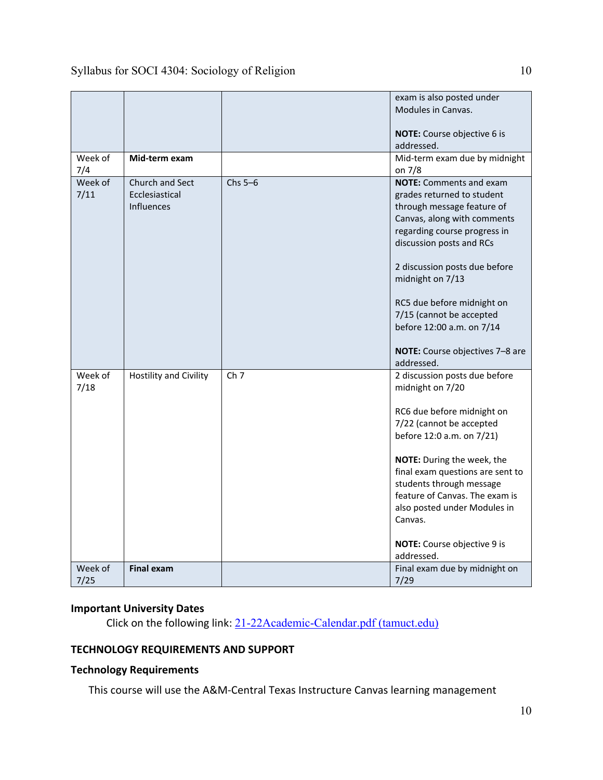|                 |                                                        |                 | exam is also posted under<br>Modules in Canvas.<br>NOTE: Course objective 6 is<br>addressed.                                                                                                                                                                                                                                                                         |
|-----------------|--------------------------------------------------------|-----------------|----------------------------------------------------------------------------------------------------------------------------------------------------------------------------------------------------------------------------------------------------------------------------------------------------------------------------------------------------------------------|
| Week of<br>7/4  | Mid-term exam                                          |                 | Mid-term exam due by midnight<br>on 7/8                                                                                                                                                                                                                                                                                                                              |
| Week of<br>7/11 | Church and Sect<br>Ecclesiastical<br><b>Influences</b> | Chs $5-6$       | <b>NOTE:</b> Comments and exam<br>grades returned to student<br>through message feature of<br>Canvas, along with comments<br>regarding course progress in<br>discussion posts and RCs<br>2 discussion posts due before<br>midnight on 7/13<br>RC5 due before midnight on<br>7/15 (cannot be accepted<br>before 12:00 a.m. on 7/14<br>NOTE: Course objectives 7-8 are |
| Week of<br>7/18 | Hostility and Civility                                 | Ch <sub>7</sub> | addressed.<br>2 discussion posts due before<br>midnight on 7/20<br>RC6 due before midnight on<br>7/22 (cannot be accepted<br>before 12:0 a.m. on 7/21)<br>NOTE: During the week, the<br>final exam questions are sent to<br>students through message<br>feature of Canvas. The exam is<br>also posted under Modules in<br>Canvas.                                    |
|                 |                                                        |                 | NOTE: Course objective 9 is<br>addressed.                                                                                                                                                                                                                                                                                                                            |
| Week of<br>7/25 | <b>Final exam</b>                                      |                 | Final exam due by midnight on<br>7/29                                                                                                                                                                                                                                                                                                                                |

# **Important University Dates**

Click on the following link: [21-22Academic-Calendar.pdf \(tamuct.edu\)](https://www.tamuct.edu/registrar/docs/21-22Academic-Calendar.pdf)

# **TECHNOLOGY REQUIREMENTS AND SUPPORT**

# **Technology Requirements**

This course will use the A&M-Central Texas Instructure Canvas learning management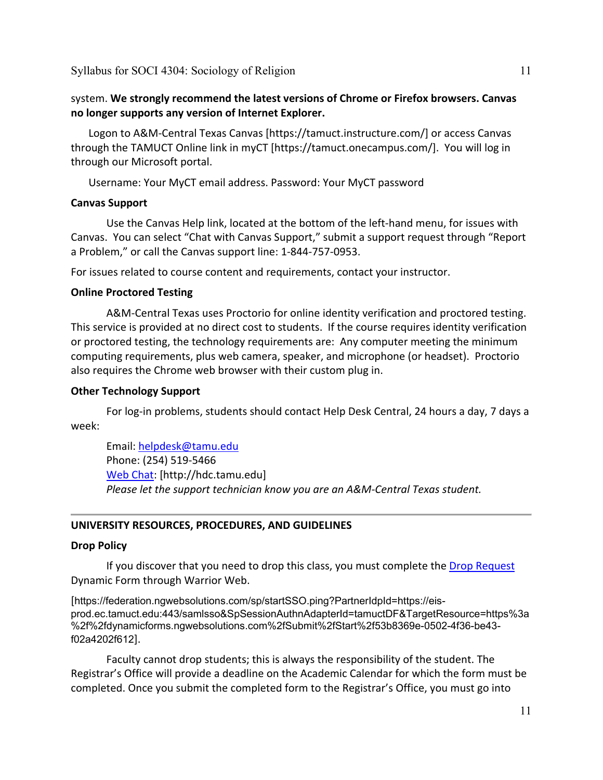# system. **We strongly recommend the latest versions of Chrome or Firefox browsers. Canvas no longer supports any version of Internet Explorer.**

Logon to A&M-Central Texas Canvas [https://tamuct.instructure.com/] or access Canvas through the TAMUCT Online link in myCT [https://tamuct.onecampus.com/]. You will log in through our Microsoft portal.

Username: Your MyCT email address. Password: Your MyCT password

## **Canvas Support**

Use the Canvas Help link, located at the bottom of the left-hand menu, for issues with Canvas. You can select "Chat with Canvas Support," submit a support request through "Report a Problem," or call the Canvas support line: 1-844-757-0953.

For issues related to course content and requirements, contact your instructor.

### **Online Proctored Testing**

A&M-Central Texas uses Proctorio for online identity verification and proctored testing. This service is provided at no direct cost to students. If the course requires identity verification or proctored testing, the technology requirements are: Any computer meeting the minimum computing requirements, plus web camera, speaker, and microphone (or headset). Proctorio also requires the Chrome web browser with their custom plug in.

### **Other Technology Support**

For log-in problems, students should contact Help Desk Central, 24 hours a day, 7 days a week:

Email: [helpdesk@tamu.edu](mailto:helpdesk@tamu.edu) Phone: (254) 519-5466 [Web Chat:](http://hdc.tamu.edu/) [http://hdc.tamu.edu] *Please let the support technician know you are an A&M-Central Texas student.*

## **UNIVERSITY RESOURCES, PROCEDURES, AND GUIDELINES**

### **Drop Policy**

If you discover that you need to drop this class, you must complete the [Drop Request](https://federation.ngwebsolutions.com/sp/startSSO.ping?PartnerIdpId=https://eis-prod.ec.tamuct.edu:443/samlsso&SpSessionAuthnAdapterId=tamuctDF&TargetResource=https%3a%2f%2fdynamicforms.ngwebsolutions.com%2fSubmit%2fStart%2f53b8369e-0502-4f36-be43-f02a4202f612) Dynamic Form through Warrior Web.

[https://federation.ngwebsolutions.com/sp/startSSO.ping?PartnerIdpId=https://eisprod.ec.tamuct.edu:443/samlsso&SpSessionAuthnAdapterId=tamuctDF&TargetResource=https%3a %2f%2fdynamicforms.ngwebsolutions.com%2fSubmit%2fStart%2f53b8369e-0502-4f36-be43 f02a4202f612].

Faculty cannot drop students; this is always the responsibility of the student. The Registrar's Office will provide a deadline on the Academic Calendar for which the form must be completed. Once you submit the completed form to the Registrar's Office, you must go into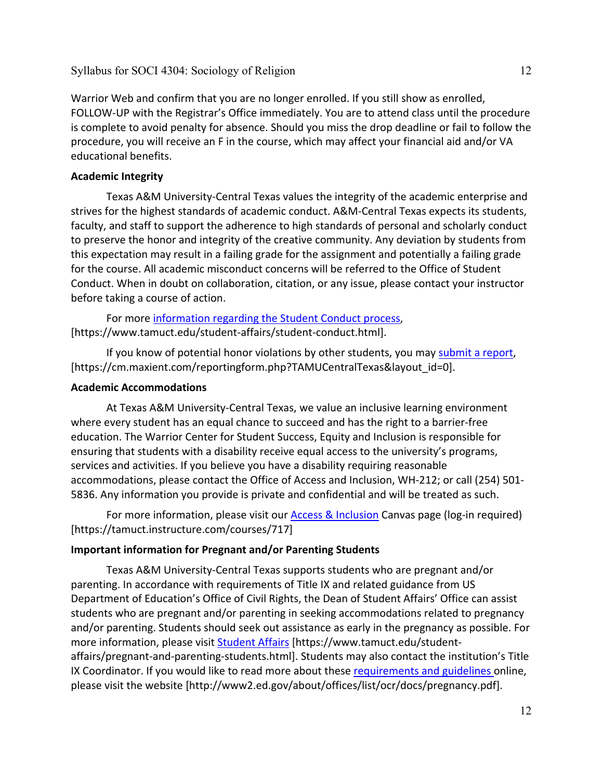Warrior Web and confirm that you are no longer enrolled. If you still show as enrolled, FOLLOW-UP with the Registrar's Office immediately. You are to attend class until the procedure is complete to avoid penalty for absence. Should you miss the drop deadline or fail to follow the procedure, you will receive an F in the course, which may affect your financial aid and/or VA educational benefits.

# **Academic Integrity**

Texas A&M University-Central Texas values the integrity of the academic enterprise and strives for the highest standards of academic conduct. A&M-Central Texas expects its students, faculty, and staff to support the adherence to high standards of personal and scholarly conduct to preserve the honor and integrity of the creative community. Any deviation by students from this expectation may result in a failing grade for the assignment and potentially a failing grade for the course. All academic misconduct concerns will be referred to the Office of Student Conduct. When in doubt on collaboration, citation, or any issue, please contact your instructor before taking a course of action.

For more [information](https://nam04.safelinks.protection.outlook.com/?url=https%3A%2F%2Fwww.tamuct.edu%2Fstudent-affairs%2Fstudent-conduct.html&data=04%7C01%7Clisa.bunkowski%40tamuct.edu%7Ccfb6e486f24745f53e1a08d910055cb2%7C9eed4e3000f744849ff193ad8005acec%7C0%7C0%7C637558437485252160%7CUnknown%7CTWFpbGZsb3d8eyJWIjoiMC4wLjAwMDAiLCJQIjoiV2luMzIiLCJBTiI6Ik1haWwiLCJXVCI6Mn0%3D%7C1000&sdata=yjftDEVHvLX%2FhM%2FcFU0B99krV1RgEWR%2BJ%2BhvtoR6TYk%3D&reserved=0) regarding the Student Conduct process, [https://www.tamuct.edu/student-affairs/student-conduct.html].

If you know of potential honor violations by other students, you may [submit](https://nam04.safelinks.protection.outlook.com/?url=https%3A%2F%2Fcm.maxient.com%2Freportingform.php%3FTAMUCentralTexas%26layout_id%3D0&data=04%7C01%7Clisa.bunkowski%40tamuct.edu%7Ccfb6e486f24745f53e1a08d910055cb2%7C9eed4e3000f744849ff193ad8005acec%7C0%7C0%7C637558437485262157%7CUnknown%7CTWFpbGZsb3d8eyJWIjoiMC4wLjAwMDAiLCJQIjoiV2luMzIiLCJBTiI6Ik1haWwiLCJXVCI6Mn0%3D%7C1000&sdata=CXGkOa6uPDPX1IMZ87z3aZDq2n91xfHKu4MMS43Ejjk%3D&reserved=0) a report, [https://cm.maxient.com/reportingform.php?TAMUCentralTexas&layout\_id=0].

# **Academic Accommodations**

At Texas A&M University-Central Texas, we value an inclusive learning environment where every student has an equal chance to succeed and has the right to a barrier-free education. The Warrior Center for Student Success, Equity and Inclusion is responsible for ensuring that students with a disability receive equal access to the university's programs, services and activities. If you believe you have a disability requiring reasonable accommodations, please contact the Office of Access and Inclusion, WH-212; or call (254) 501- 5836. Any information you provide is private and confidential and will be treated as such.

For more information, please visit our [Access & Inclusion](https://tamuct.instructure.com/courses/717) Canvas page (log-in required) [https://tamuct.instructure.com/courses/717]

# **Important information for Pregnant and/or Parenting Students**

Texas A&M University-Central Texas supports students who are pregnant and/or parenting. In accordance with requirements of Title IX and related guidance from US Department of Education's Office of Civil Rights, the Dean of Student Affairs' Office can assist students who are pregnant and/or parenting in seeking accommodations related to pregnancy and/or parenting. Students should seek out assistance as early in the pregnancy as possible. For more information, please visit **[Student Affairs](https://www.tamuct.edu/student-affairs/pregnant-and-parenting-students.html)** [https://www.tamuct.edu/studentaffairs/pregnant-and-parenting-students.html]. Students may also contact the institution's Title IX Coordinator. If you would like to read more about these [requirements and guidelines](http://www2.ed.gov/about/offices/list/ocr/docs/pregnancy.pdf) online, please visit the website [http://www2.ed.gov/about/offices/list/ocr/docs/pregnancy.pdf].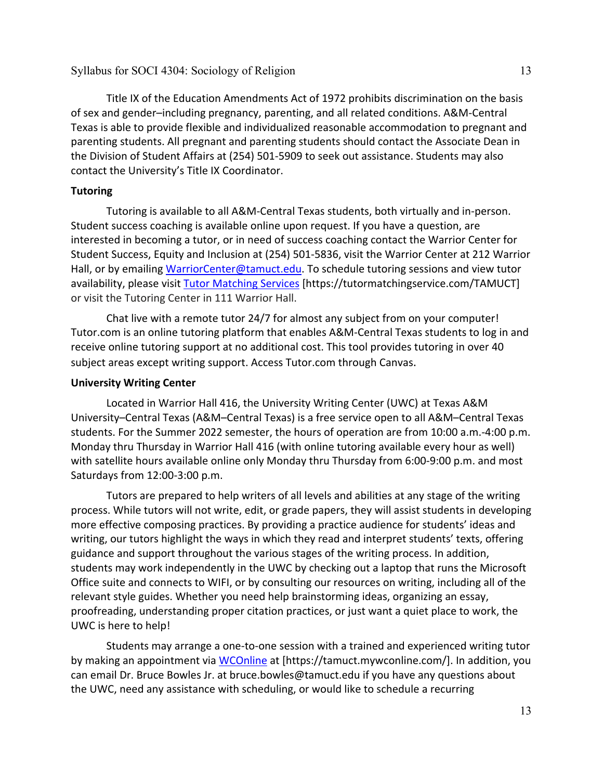Title IX of the Education Amendments Act of 1972 prohibits discrimination on the basis of sex and gender–including pregnancy, parenting, and all related conditions. A&M-Central Texas is able to provide flexible and individualized reasonable accommodation to pregnant and parenting students. All pregnant and parenting students should contact the Associate Dean in the Division of Student Affairs at (254) 501-5909 to seek out assistance. Students may also contact the University's Title IX Coordinator.

## **Tutoring**

Tutoring is available to all A&M-Central Texas students, both virtually and in-person. Student success coaching is available online upon request. If you have a question, are interested in becoming a tutor, or in need of success coaching contact the Warrior Center for Student Success, Equity and Inclusion at (254) 501-5836, visit the Warrior Center at 212 Warrior Hall, or by emailing [WarriorCenter@tamuct.edu.](mailto:WarriorCenter@tamuct.edu) To schedule tutoring sessions and view tutor availability, please visit Tutor [Matching](https://tutormatchingservice.com/TAMUCT) Services [https://tutormatchingservice.com/TAMUCT] or visit the Tutoring Center in 111 Warrior Hall.

Chat live with a remote tutor 24/7 for almost any subject from on your computer! Tutor.com is an online tutoring platform that enables A&M-Central Texas students to log in and receive online tutoring support at no additional cost. This tool provides tutoring in over 40 subject areas except writing support. Access Tutor.com through Canvas.

## **University Writing Center**

Located in Warrior Hall 416, the University Writing Center (UWC) at Texas A&M University–Central Texas (A&M–Central Texas) is a free service open to all A&M–Central Texas students. For the Summer 2022 semester, the hours of operation are from 10:00 a.m.-4:00 p.m. Monday thru Thursday in Warrior Hall 416 (with online tutoring available every hour as well) with satellite hours available online only Monday thru Thursday from 6:00-9:00 p.m. and most Saturdays from 12:00-3:00 p.m.

Tutors are prepared to help writers of all levels and abilities at any stage of the writing process. While tutors will not write, edit, or grade papers, they will assist students in developing more effective composing practices. By providing a practice audience for students' ideas and writing, our tutors highlight the ways in which they read and interpret students' texts, offering guidance and support throughout the various stages of the writing process. In addition, students may work independently in the UWC by checking out a laptop that runs the Microsoft Office suite and connects to WIFI, or by consulting our resources on writing, including all of the relevant style guides. Whether you need help brainstorming ideas, organizing an essay, proofreading, understanding proper citation practices, or just want a quiet place to work, the UWC is here to help!

Students may arrange a one-to-one session with a trained and experienced writing tutor by making an appointment via [WCOnline](https://tamuct.mywconline.com/) at [https://tamuct.mywconline.com/]. In addition, you can email Dr. Bruce Bowles Jr. at bruce.bowles@tamuct.edu if you have any questions about the UWC, need any assistance with scheduling, or would like to schedule a recurring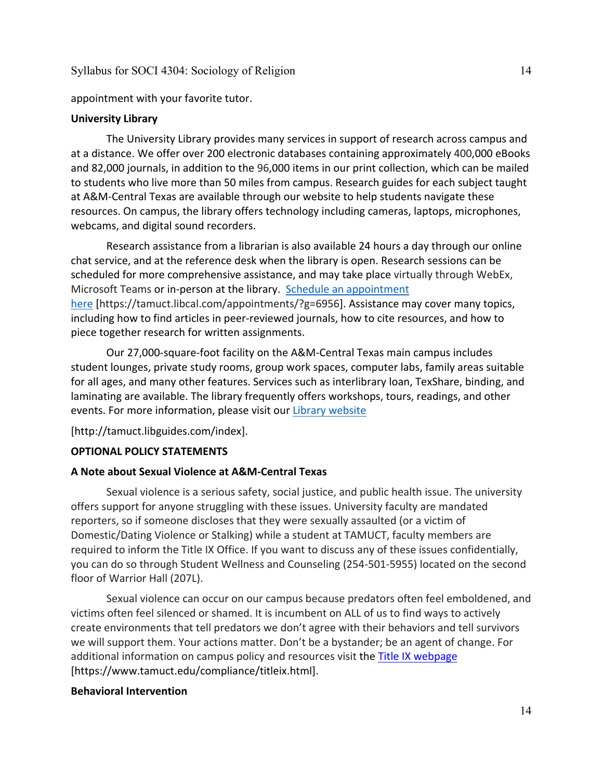appointment with your favorite tutor.

### **University Library**

The University Library provides many services in support of research across campus and at a distance. We offer over 200 electronic databases containing approximately 400,000 eBooks and 82,000 journals, in addition to the 96,000 items in our print collection, which can be mailed to students who live more than 50 miles from campus. Research guides for each subject taught at A&M-Central Texas are available through our website to help students navigate these resources. On campus, the library offers technology including cameras, laptops, microphones, webcams, and digital sound recorders.

Research assistance from a librarian is also available 24 hours a day through our online chat service, and at the reference desk when the library is open. Research sessions can be scheduled for more comprehensive assistance, and may take place virtually through WebEx, Microsoft Teams or in-person at the library. Schedule an [appointment](https://nam04.safelinks.protection.outlook.com/?url=https%3A%2F%2Ftamuct.libcal.com%2Fappointments%2F%3Fg%3D6956&data=04%7C01%7Clisa.bunkowski%40tamuct.edu%7Cde2c07d9f5804f09518008d9ab7ba6ff%7C9eed4e3000f744849ff193ad8005acec%7C0%7C0%7C637729369835011558%7CUnknown%7CTWFpbGZsb3d8eyJWIjoiMC4wLjAwMDAiLCJQIjoiV2luMzIiLCJBTiI6Ik1haWwiLCJXVCI6Mn0%3D%7C3000&sdata=KhtjgRSAw9aq%2FoBsB6wyu8b7PSuGN5EGPypzr3Ty2No%3D&reserved=0) [here](https://nam04.safelinks.protection.outlook.com/?url=https%3A%2F%2Ftamuct.libcal.com%2Fappointments%2F%3Fg%3D6956&data=04%7C01%7Clisa.bunkowski%40tamuct.edu%7Cde2c07d9f5804f09518008d9ab7ba6ff%7C9eed4e3000f744849ff193ad8005acec%7C0%7C0%7C637729369835011558%7CUnknown%7CTWFpbGZsb3d8eyJWIjoiMC4wLjAwMDAiLCJQIjoiV2luMzIiLCJBTiI6Ik1haWwiLCJXVCI6Mn0%3D%7C3000&sdata=KhtjgRSAw9aq%2FoBsB6wyu8b7PSuGN5EGPypzr3Ty2No%3D&reserved=0) [https://tamuct.libcal.com/appointments/?g=6956]. Assistance may cover many topics, including how to find articles in peer-reviewed journals, how to cite resources, and how to piece together research for written assignments.

Our 27,000-square-foot facility on the A&M-Central Texas main campus includes student lounges, private study rooms, group work spaces, computer labs, family areas suitable for all ages, and many other features. Services such as interlibrary loan, TexShare, binding, and laminating are available. The library frequently offers workshops, tours, readings, and other events. For more information, please visit our Library [website](https://nam04.safelinks.protection.outlook.com/?url=https%3A%2F%2Ftamuct.libguides.com%2Findex&data=04%7C01%7Clisa.bunkowski%40tamuct.edu%7C7d8489e8839a4915335f08d916f067f2%7C9eed4e3000f744849ff193ad8005acec%7C0%7C0%7C637566044056484222%7CUnknown%7CTWFpbGZsb3d8eyJWIjoiMC4wLjAwMDAiLCJQIjoiV2luMzIiLCJBTiI6Ik1haWwiLCJXVCI6Mn0%3D%7C1000&sdata=2R755V6rcIyedGrd4Os5rkgn1PvhHKU3kUV1vBKiHFo%3D&reserved=0)

[http://tamuct.libguides.com/index].

### **OPTIONAL POLICY STATEMENTS**

### **A Note about Sexual Violence at A&M-Central Texas**

Sexual violence is a serious safety, social justice, and public health issue. The university offers support for anyone struggling with these issues. University faculty are mandated reporters, so if someone discloses that they were sexually assaulted (or a victim of Domestic/Dating Violence or Stalking) while a student at TAMUCT, faculty members are required to inform the Title IX Office. If you want to discuss any of these issues confidentially, you can do so through Student Wellness and Counseling (254-501-5955) located on the second floor of Warrior Hall (207L).

Sexual violence can occur on our campus because predators often feel emboldened, and victims often feel silenced or shamed. It is incumbent on ALL of us to find ways to actively create environments that tell predators we don't agree with their behaviors and tell survivors we will support them. Your actions matter. Don't be a bystander; be an agent of change. For additional information on campus policy and resources visit the [Title IX webpage](https://www.tamuct.edu/compliance/titleix.html) [\[https://www.tamuct.edu/compliance/titleix.html\]](https://www.tamuct.edu/compliance/titleix.html).

### **Behavioral Intervention**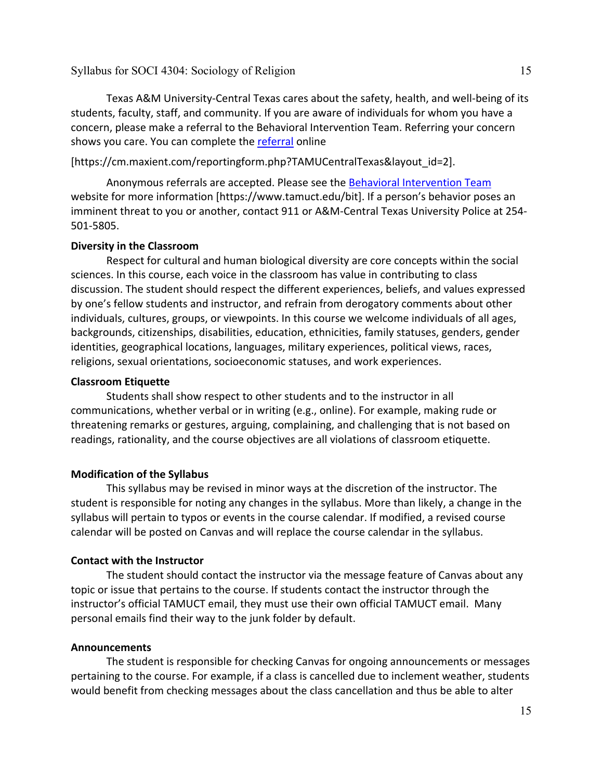Texas A&M University-Central Texas cares about the safety, health, and well-being of its students, faculty, staff, and community. If you are aware of individuals for whom you have a concern, please make a referral to the Behavioral Intervention Team. Referring your concern shows you care. You can complete the [referral](https://cm.maxient.com/reportingform.php?TAMUCentralTexas&layout_id=2) online

[https://cm.maxient.com/reportingform.php?TAMUCentralTexas&layout\_id=2].

Anonymous referrals are accepted. Please see the [Behavioral Intervention Team](https://www.tamuct.edu/bit) website for more information [https://www.tamuct.edu/bit]. If a person's behavior poses an imminent threat to you or another, contact 911 or A&M-Central Texas University Police at 254- 501-5805.

### **Diversity in the Classroom**

Respect for cultural and human biological diversity are core concepts within the social sciences. In this course, each voice in the classroom has value in contributing to class discussion. The student should respect the different experiences, beliefs, and values expressed by one's fellow students and instructor, and refrain from derogatory comments about other individuals, cultures, groups, or viewpoints. In this course we welcome individuals of all ages, backgrounds, citizenships, disabilities, education, ethnicities, family statuses, genders, gender identities, geographical locations, languages, military experiences, political views, races, religions, sexual orientations, socioeconomic statuses, and work experiences.

### **Classroom Etiquette**

Students shall show respect to other students and to the instructor in all communications, whether verbal or in writing (e.g., online). For example, making rude or threatening remarks or gestures, arguing, complaining, and challenging that is not based on readings, rationality, and the course objectives are all violations of classroom etiquette.

## **Modification of the Syllabus**

This syllabus may be revised in minor ways at the discretion of the instructor. The student is responsible for noting any changes in the syllabus. More than likely, a change in the syllabus will pertain to typos or events in the course calendar. If modified, a revised course calendar will be posted on Canvas and will replace the course calendar in the syllabus.

## **Contact with the Instructor**

The student should contact the instructor via the message feature of Canvas about any topic or issue that pertains to the course. If students contact the instructor through the instructor's official TAMUCT email, they must use their own official TAMUCT email. Many personal emails find their way to the junk folder by default.

## **Announcements**

The student is responsible for checking Canvas for ongoing announcements or messages pertaining to the course. For example, if a class is cancelled due to inclement weather, students would benefit from checking messages about the class cancellation and thus be able to alter